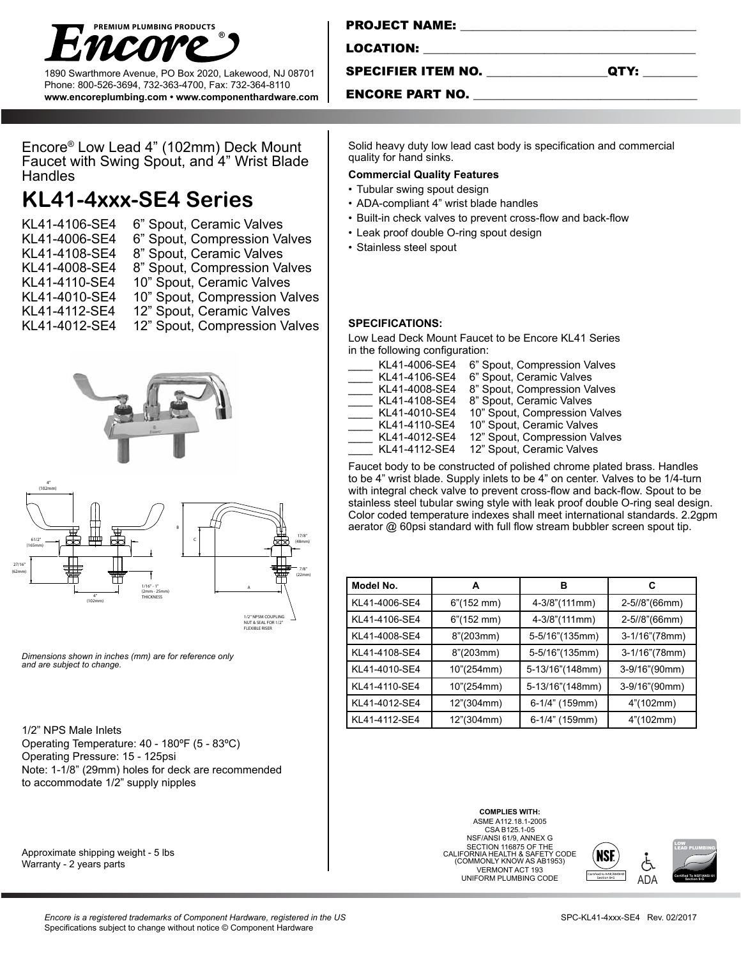

1890 Swarthmore Avenue, PO Box 2020, Lakewood, NJ 08701 Phone: 800-526-3694, 732-363-4700, Fax: 732-364-8110 **www.encoreplumbing.com • www.componenthardware.com**

| <b>PROJECT NAME:</b> |  |
|----------------------|--|
|                      |  |
| LOCATION:            |  |
|                      |  |

SPECIFIER ITEM NO.

| .,<br>۰, |  | . . |
|----------|--|-----|
|----------|--|-----|

### ENCORE PART NO.

Encore® Low Lead 4" (102mm) Deck Mount Faucet with Swing Spout, and 4" Wrist Blade **Handles** 

# **KL41-4xxx-SE4 Series**

- KL41-4106-SE4 6" Spout, Ceramic Valves
- KL41-4006-SE4 6" Spout, Compression Valves<br>KL41-4108-SE4 8" Spout, Ceramic Valves
- 
- KL41-4108-SE4 8" Spout, Ceramic Valves 8" Spout, Compression Valves
- KL41-4110-SE4 10" Spout, Ceramic Valves
- KL41-4010-SE4 10" Spout, Compression Valves
- 
- KL41-4112-SE4 12" Spout, Ceramic Valves

KL41-4012-SE4 12" Spout, Compression Valves



*Dimensions shown in inches (mm) are for reference only and are subject to change.* 

1/2" NPS Male Inlets

Operating Temperature: 40 - 180ºF (5 - 83ºC) Operating Pressure: 15 - 125psi Note: 1-1/8" (29mm) holes for deck are recommended to accommodate 1/2" supply nipples

Approximate shipping weight - 5 lbs Warranty - 2 years parts

Solid heavy duty low lead cast body is specification and commercial quality for hand sinks.

#### **Commercial Quality Features**

- Tubular swing spout design
- ADA-compliant 4" wrist blade handles
- Built-in check valves to prevent cross-flow and back-flow
- Leak proof double O-ring spout design
- Stainless steel spout

**SPECIFICATIONS:** 

Low Lead Deck Mount Faucet to be Encore KL41 Series in the following configuration:

| KL41-4006-SE4 | 6" Spout, Compression Valves  |
|---------------|-------------------------------|
| KL41-4106-SE4 | 6" Spout, Ceramic Valves      |
| KL41-4008-SE4 | 8" Spout, Compression Valves  |
| KL41-4108-SE4 | 8" Spout, Ceramic Valves      |
| KL41-4010-SE4 | 10" Spout, Compression Valves |
| KL41-4110-SE4 | 10" Spout, Ceramic Valves     |
| KL41-4012-SE4 | 12" Spout, Compression Valves |
| KL41-4112-SE4 | 12" Spout, Ceramic Valves     |

Faucet body to be constructed of polished chrome plated brass. Handles to be 4" wrist blade. Supply inlets to be 4" on center. Valves to be 1/4-turn with integral check valve to prevent cross-flow and back-flow. Spout to be stainless steel tubular swing style with leak proof double O-ring seal design. Color coded temperature indexes shall meet international standards. 2.2gpm aerator @ 60psi standard with full flow stream bubbler screen spout tip.

| Model No.     | A                     | в               | С             |
|---------------|-----------------------|-----------------|---------------|
| KL41-4006-SE4 | $6''(152 \text{ mm})$ | 4-3/8"(111mm)   | 2-5//8"(66mm) |
| KL41-4106-SE4 | $6''(152 \text{ mm})$ | 4-3/8"(111mm)   | 2-5//8"(66mm) |
| KL41-4008-SE4 | 8''(203mm)            | 5-5/16"(135mm)  | 3-1/16"(78mm) |
| KL41-4108-SE4 | 8''(203mm)            | 5-5/16"(135mm)  | 3-1/16"(78mm) |
| KL41-4010-SE4 | 10"(254mm)            | 5-13/16"(148mm) | 3-9/16"(90mm) |
| KL41-4110-SE4 | 10"(254mm)            | 5-13/16"(148mm) | 3-9/16"(90mm) |
| KL41-4012-SE4 | 12"(304mm)            | 6-1/4" (159mm)  | 4"(102mm)     |
| KL41-4112-SE4 | 12"(304mm)            | 6-1/4" (159mm)  | 4"(102mm)     |

**COMPLIES WITH:** ASME A112.18.1-2005 CSA B125.1-05 NSF/ANSI 61/9, ANNEX G SECTION 116875 OF THE CALIFORNIA HEALTH & SAFETY CODE (COMMONLY KNOW AS AB1953) VERMONT ACT 193 **UNIFORM PLUMBING CODE**